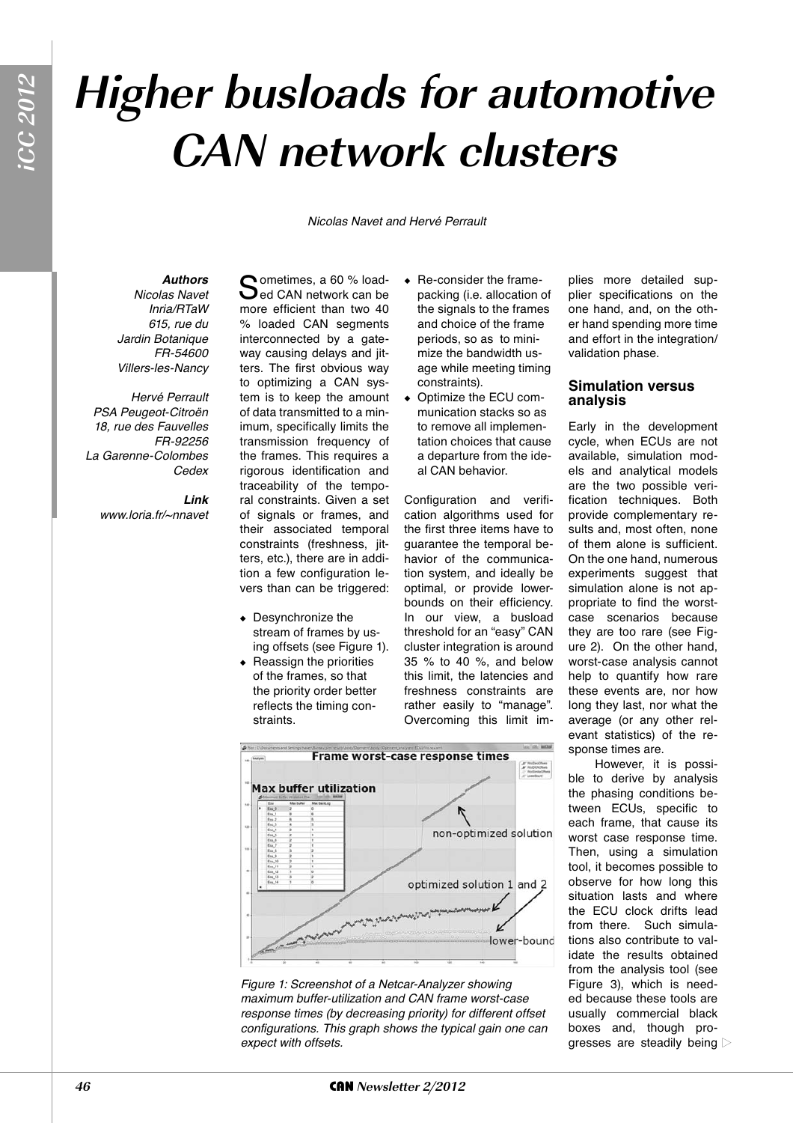# **Higher busloads for automotive CAN network clusters**

Nicolas Navet and Hervé Perrault

## *Authors*

Nicolas Navet Inria/RTaW 615, rue du Jardin Botanique FR-54600 Villers-les-Nancy

Hervé Perrault PSA Peugeot-Citroën 18, rue des Fauvelles FR-92256 La Garenne-Colombes **Cedex** 

> *Link* www.loria.fr/~nnavet

Sometimes, a 60 % load-<br>Sed CAN network can be more efficient than two 40 % loaded CAN segments interconnected by a gateway causing delays and jitters. The first obvious way to optimizing a CAN system is to keep the amount of data transmitted to a minimum, specifically limits the transmission frequency of the frames. This requires a rigorous identification and traceability of the temporal constraints. Given a set of signals or frames, and their associated temporal constraints (freshness, jitters, etc.), there are in addition a few configuration levers than can be triggered:

- $\bullet$  Desynchronize the stream of frames by using offsets (see Figure 1).
- $\triangleleft$  Reassign the priorities of the frames, so that the priority order better reflects the timing constraints.
- $\leftarrow$  Re-consider the framepacking (i.e. allocation of the signals to the frames and choice of the frame periods, so as to minimize the bandwidth usage while meeting timing constraints).
- $\bullet$  Optimize the ECU communication stacks so as to remove all implementation choices that cause a departure from the ideal CAN behavior.

Configuration and verification algorithms used for the first three items have to guarantee the temporal behavior of the communication system, and ideally be optimal, or provide lowerbounds on their efficiency. In our view, a busload threshold for an "easy" CAN cluster integration is around 35 % to 40 %, and below this limit, the latencies and freshness constraints are rather easily to "manage". Overcoming this limit im-

plies more detailed supplier specifications on the one hand, and, on the other hand spending more time and effort in the integration/ validation phase.

## **Simulation versus analysis**

Early in the development cycle, when ECUs are not available, simulation models and analytical models are the two possible verification techniques. Both provide complementary results and, most often, none of them alone is sufficient. On the one hand, numerous experiments suggest that simulation alone is not appropriate to find the worstcase scenarios because they are too rare (see Figure 2). On the other hand, worst-case analysis cannot help to quantify how rare these events are, nor how long they last, nor what the average (or any other relevant statistics) of the response times are.

However, it is possible to derive by analysis the phasing conditions between ECUs, specific to each frame, that cause its worst case response time. Then, using a simulation tool, it becomes possible to observe for how long this situation lasts and where the ECU clock drifts lead from there. Such simulations also contribute to validate the results obtained from the analysis tool (see Figure 3), which is needed because these tools are usually commercial black boxes and, though progresses are steadily being





Frame worst-case response times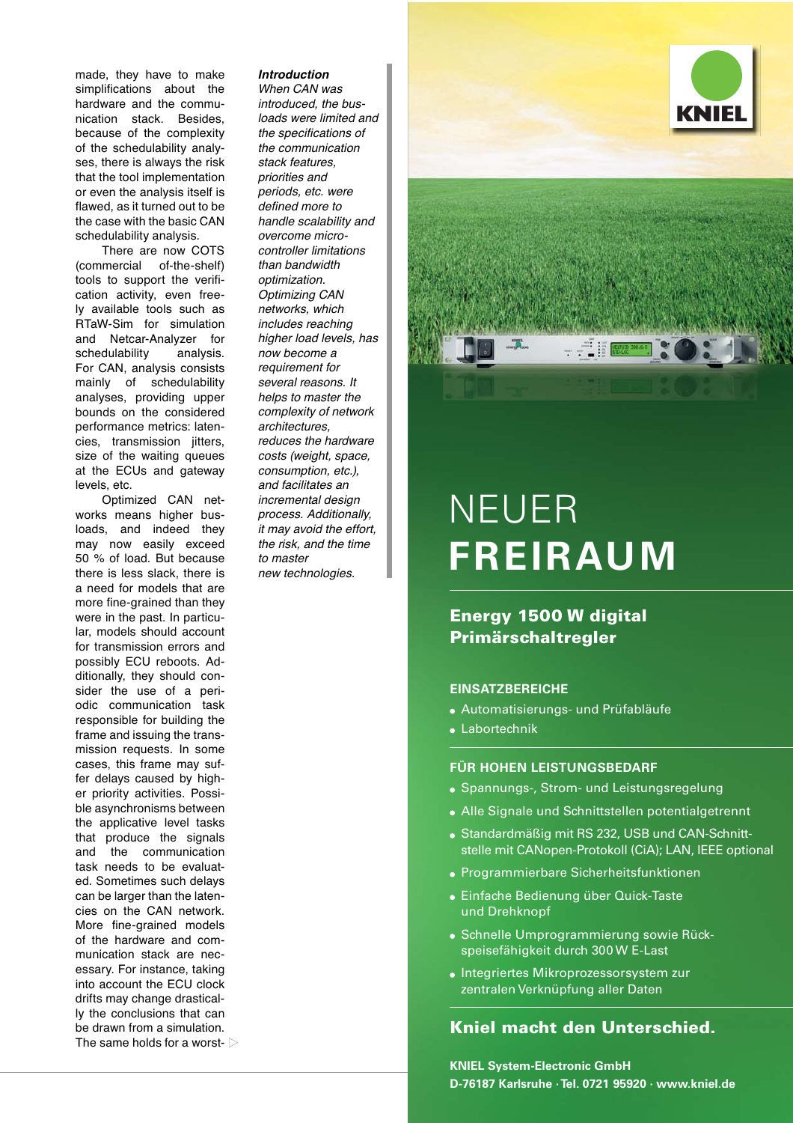made, they have to make simplifications about the hardware and the communication stack. Besides, because of the complexity of the schedulability analyses, there is always the risk that the tool implementation or even the analysis itself is flawed, as it turned out to be the case with the basic CAN schedulability analysis.

There are now COTS (commercial of-the-shelf) tools to support the verification activity, even freely available tools such as RTaW-Sim for simulation and Netcar-Analyzer for schedulability analysis. For CAN, analysis consists mainly of schedulability analyses, providing upper bounds on the considered performance metrics: latencies, transmission jitters, size of the waiting queues at the ECUs and gateway levels, etc.

Optimized CAN networks means higher busloads, and indeed they may now easily exceed 50 % of load. But because there is less slack, there is a need for models that are more fine-grained than they were in the past. In particular, models should account for transmission errors and possibly ECU reboots. Additionally, they should consider the use of a periodic communication task responsible for building the frame and issuing the transmission requests. In some cases, this frame may suffer delays caused by higher priority activities. Possible asynchronisms between the applicative level tasks that produce the signals and the communication task needs to be evaluated. Sometimes such delays can be larger than the latencies on the CAN network. More fine-grained models of the hardware and communication stack are necessary. For instance, taking into account the ECU clock drifts may change drastically the conclusions that can be drawn from a simulation. The same holds for a worst-  $\triangleright$ 

#### *Introduction*

When CAN was introduced, the busloads were limited and the specifications of the communication stack features, priorities and periods, etc. were defined more to handle scalability and overcome microcontroller limitations than bandwidth optimization. Optimizing CAN networks, which includes reaching higher load levels, has now become a requirement for several reasons. It helps to master the complexity of network architectures, reduces the hardware costs (weight, space, consumption, etc.), and facilitates an incremental design process. Additionally, it may avoid the effort, the risk, and the time to master new technologies.





# NEUER **FREIRAUM**

## **Energy 1500 W digital Primärschaltregler**

### **EINSATZBEREICHE**

- Automatisierungs- und Prüfabläufe
- Labortechnik

## **FÜR HOHEN LEISTUNGSBEDARF**

- Spannungs-, Strom- und Leistungsregelung
- Alle Signale und Schnittstellen potentialgetrennt
- Standardmäßig mit RS 232, USB und CAN-Schnitt stelle mit CANopen-Protokoll (CiA); LAN, IEEE optional
- Programmierbare Sicherheitsfunktionen
- Einfache Bedienung über Quick-Taste und Drehknopf
- Schnelle Umprogrammierung sowie Rück speisefähigkeit durch 300 W E-Last
- Integriertes Mikroprozessorsystem zur zentralen Verknüpfung aller Daten

## **Kniel macht den Unterschied.**

**KNIEL System-Electronic GmbH D-76187 Karlsruhe · Tel. 0721 95920 · www.kniel.de**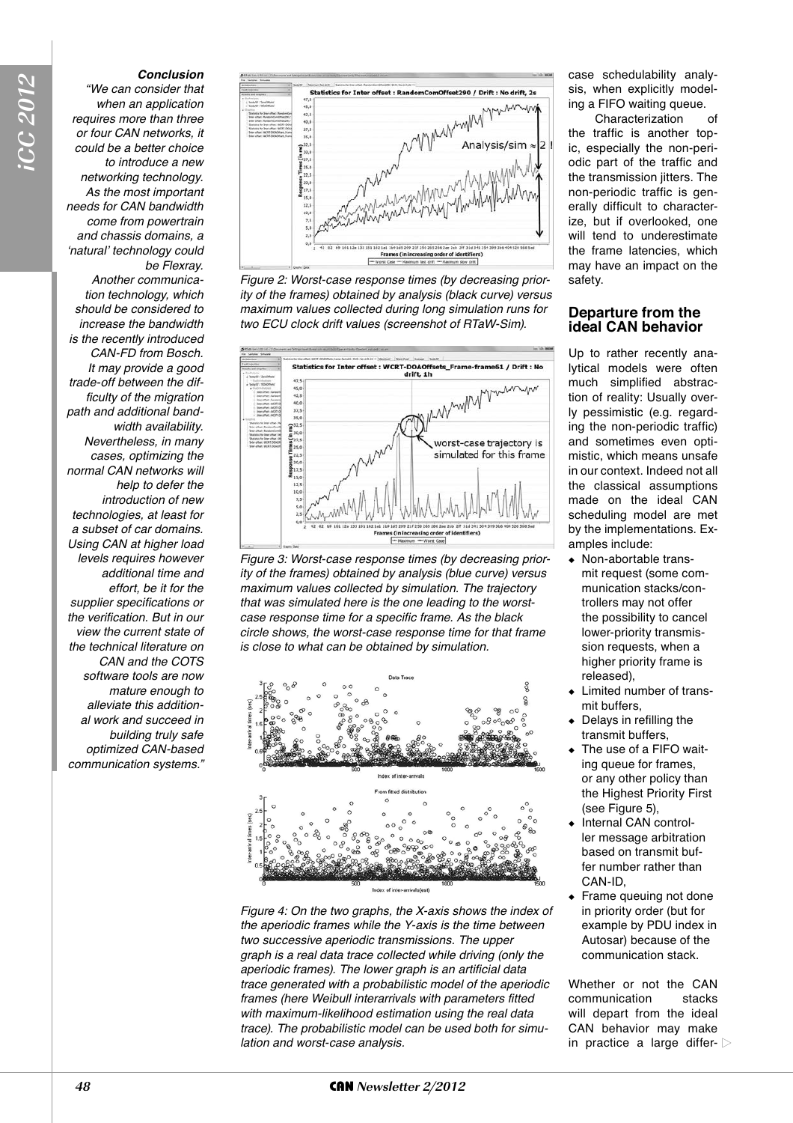#### *Conclusion*

"We can consider that when an application requires more than three or four CAN networks, it could be a better choice to introduce a new networking technology. As the most important needs for CAN bandwidth come from powertrain and chassis domains, a *'natural'* technology could be Flexray. Another communication technology, which should be considered to increase the bandwidth is the recently introduced CAN-FD from Bosch. It may provide a good trade-off between the difficulty of the migration path and additional bandwidth availability. Nevertheless, in many cases, optimizing the normal CAN networks will help to defer the introduction of new technologies, at least for a subset of car domains. Using CAN at higher load levels requires however additional time and effort, be it for the supplier specifications or the verification. But in our view the current state of the technical literature on CAN and the COTS software tools are now mature enough to alleviate this additional work and succeed in building truly safe optimized CAN-based communication systems."



Figure 2: Worst-case response times (by decreasing priority of the frames) obtained by analysis (black curve) versus maximum values collected during long simulation runs for two ECU clock drift values (screenshot of RTaW-Sim).



Figure 3: Worst-case response times (by decreasing priority of the frames) obtained by analysis (blue curve) versus maximum values collected by simulation. The trajectory that was simulated here is the one leading to the worstcase response time for a specific frame. As the black circle shows, the worst-case response time for that frame is close to what can be obtained by simulation.



Figure 4: On the two graphs, the X-axis shows the index of the aperiodic frames while the Y-axis is the time between two successive aperiodic transmissions. The upper graph is a real data trace collected while driving (only the aperiodic frames). The lower graph is an artificial data trace generated with a probabilistic model of the aperiodic frames (here Weibull interarrivals with parameters fitted with maximum-likelihood estimation using the real data trace). The probabilistic model can be used both for simulation and worst-case analysis.

case schedulability analysis, when explicitly modeling a FIFO waiting queue.

Characterization of the traffic is another topic, especially the non-periodic part of the traffic and the transmission jitters. The non-periodic traffic is generally difficult to characterize, but if overlooked, one will tend to underestimate the frame latencies, which may have an impact on the safety.

### **Departure from the ideal CAN behavior**

Up to rather recently analytical models were often much simplified abstraction of reality: Usually overly pessimistic (e.g. regarding the non-periodic traffic) and sometimes even optimistic, which means unsafe in our context. Indeed not all the classical assumptions made on the ideal CAN scheduling model are met by the implementations. Examples include:

- $\bullet$  Non-abortable transmit request (some communication stacks/controllers may not offer the possibility to cancel lower-priority transmission requests, when a higher priority frame is released),
- Limited number of transmit buffers,
- Delays in refilling the transmit buffers,
- The use of a FIFO waiting queue for frames, or any other policy than the Highest Priority First (see Figure 5),
- Internal CAN controller message arbitration based on transmit buffer number rather than CAN-ID,
- $\triangle$  Frame queuing not done in priority order (but for example by PDU index in Autosar) because of the communication stack.

Whether or not the CAN communication stacks will depart from the ideal CAN behavior may make in practice a large differ- $\triangleright$